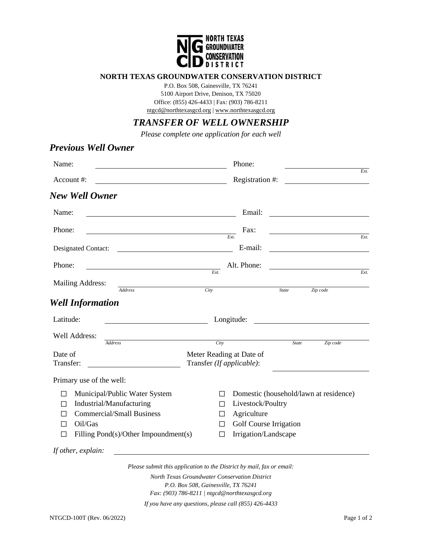

## **NORTH TEXAS GROUNDWATER CONSERVATION DISTRICT**

P.O. Box 508, Gainesville, TX 76241 5100 Airport Drive, Denison, TX 75020 Office: (855) 426-4433 | Fax: (903) 786-8211 [ntgcd@northtexasgcd.org](mailto:ntgcd@northtexasgcd.org) [| www.northtexasgcd.org](http://www.northtexasgcd.org/)

## *TRANSFER OF WELL OWNERSHIP*

*Please complete one application for each well*

| <b>Previous Well Owner</b>                                                                                                                                                           |                                                                                                                                                                                                                |
|--------------------------------------------------------------------------------------------------------------------------------------------------------------------------------------|----------------------------------------------------------------------------------------------------------------------------------------------------------------------------------------------------------------|
| Name:                                                                                                                                                                                | Phone:                                                                                                                                                                                                         |
| Account #:<br><u> 1980 - Johann Barn, mars eta bainar eta baina eta baina eta baina eta baina eta baina eta baina eta baina e</u>                                                    | Ext.<br>Registration #:<br><u> 1980 - Jan Stein Stein Stein Stein Stein Stein Stein Stein Stein Stein Stein Stein Stein Stein Stein Stein S</u>                                                                |
| New Well Owner                                                                                                                                                                       |                                                                                                                                                                                                                |
| Name:                                                                                                                                                                                | Email:                                                                                                                                                                                                         |
| Phone:                                                                                                                                                                               | Fax:<br>Ext.<br>Ext.                                                                                                                                                                                           |
| Designated Contact:<br><u> 1989 - Johann Barbara, martin a</u>                                                                                                                       | E-mail:<br><u> 1980 - Andrea Andrew Maria (h. 1980).</u>                                                                                                                                                       |
| Phone:                                                                                                                                                                               | Alt. Phone:                                                                                                                                                                                                    |
| <b>Mailing Address:</b>                                                                                                                                                              | Ext.<br>$\overline{Ext}$                                                                                                                                                                                       |
| <b>Address</b><br><b>Well Information</b>                                                                                                                                            | City<br>State<br>Zip code                                                                                                                                                                                      |
| Latitude:                                                                                                                                                                            | Longitude:                                                                                                                                                                                                     |
| Well Address:<br><b>Address</b>                                                                                                                                                      |                                                                                                                                                                                                                |
| Date of<br>Transfer:                                                                                                                                                                 | City<br><b>State</b><br>Zip code<br>Meter Reading at Date of<br>Transfer (If applicable):                                                                                                                      |
| Primary use of the well:                                                                                                                                                             |                                                                                                                                                                                                                |
| Municipal/Public Water System<br>П<br>Industrial/Manufacturing<br>ΙI<br><b>Commercial/Small Business</b><br>$\Box$<br>Oil/Gas<br>$\Box$<br>Filling Pond(s)/Other Impoundment(s)<br>П | Domestic (household/lawn at residence)<br>$\Box$<br>Livestock/Poultry<br>$\perp$<br>Agriculture<br>$\Box$<br>Golf Course Irrigation<br>$\perp$<br>Irrigation/Landscape<br>$\Box$                               |
| If other, explain:                                                                                                                                                                   |                                                                                                                                                                                                                |
|                                                                                                                                                                                      | Please submit this application to the District by mail, fax or email:<br>North Texas Groundwater Conservation District<br>P.O. Box 508, Gainesville, TX 76241<br>Fax: (903) 786-8211   ntgcd@northtexasgcd.org |
|                                                                                                                                                                                      | If you have any questions, please call (855) 426-4433                                                                                                                                                          |